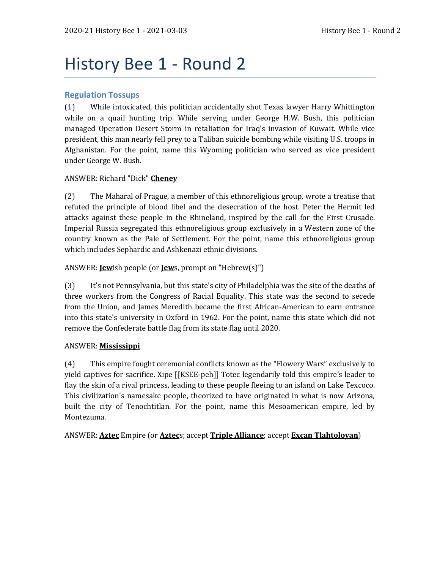# History Bee 1 - Round 2

## **Regulation Tossups**

(1) While intoxicated, this politician accidentally shot Texas lawyer Harry Whittington while on a quail hunting trip. While serving under George H.W. Bush, this politician managed Operation Desert Storm in retaliation for Iraq's invasion of Kuwait. While vice president, this man nearly fell prey to a Taliban suicide bombing while visiting U.S. troops in Afghanistan. For the point, name this Wyoming politician who served as vice president under George W. Bush.

## ANSWER: Richard "Dick" **Cheney**

(2) The Maharal of Prague, a member of this ethnoreligious group, wrote a treatise that refuted the principle of blood libel and the desecration of the host. Peter the Hermit led attacks against these people in the Rhineland, inspired by the call for the First Crusade. Imperial Russia segregated this ethnoreligious group exclusively in a Western zone of the country known as the Pale of Settlement. For the point, name this ethnoreligious group which includes Sephardic and Ashkenazi ethnic divisions.

## ANSWER: **Jew**ish people (or **Jew**s, prompt on "Hebrew(s)")

(3) It's not Pennsylvania, but this state's city of Philadelphia was the site of the deaths of three workers from the Congress of Racial Equality. This state was the second to secede from the Union, and James Meredith became the first African-American to earn entrance into this state's university in Oxford in 1962. For the point, name this state which did not remove the Confederate battle flag from its state flag until 2020.

#### ANSWER: **Mississippi**

(4) This empire fought ceremonial conflicts known as the "Flowery Wars" exclusively to yield captives for sacrifice. Xipe [[KSEE-peh]] Totec legendarily told this empire's leader to flay the skin of a rival princess, leading to these people fleeing to an island on Lake Texcoco. This civilization's namesake people, theorized to have originated in what is now Arizona, built the city of Tenochtitlan. For the point, name this Mesoamerican empire, led by Montezuma.

#### ANSWER: **Aztec** Empire (or **Aztec**s; accept **Triple Alliance**; accept **Excan Tlahtoloyan**)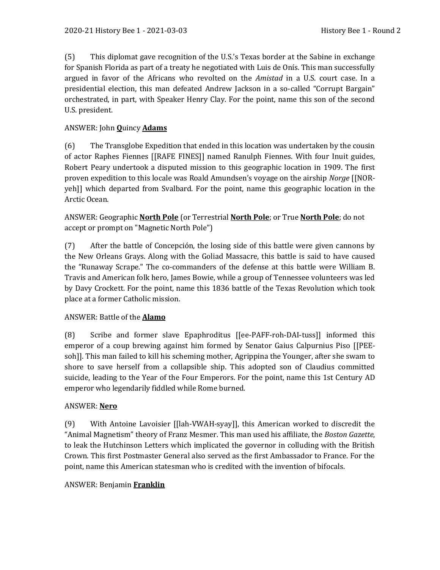(5) This diplomat gave recognition of the U.S.'s Texas border at the Sabine in exchange for Spanish Florida as part of a treaty he negotiated with Luis de Onís. This man successfully argued in favor of the Africans who revolted on the *Amistad* in a U.S. court case. In a presidential election, this man defeated Andrew Jackson in a so-called "Corrupt Bargain" orchestrated, in part, with Speaker Henry Clay. For the point, name this son of the second U.S. president.

# ANSWER: John **Q**uincy **Adams**

(6) The Transglobe Expedition that ended in this location was undertaken by the cousin of actor Raphes Fiennes [[RAFE FINES]] named Ranulph Fiennes. With four Inuit guides, Robert Peary undertook a disputed mission to this geographic location in 1909. The first proven expedition to this locale was Roald Amundsen's voyage on the airship *Norge* [[NORyeh]] which departed from Svalbard. For the point, name this geographic location in the Arctic Ocean.

ANSWER: Geographic **North Pole** (or Terrestrial **North Pole**; or True **North Pole**; do not accept or prompt on "Magnetic North Pole")

(7) After the battle of Concepción, the losing side of this battle were given cannons by the New Orleans Grays. Along with the Goliad Massacre, this battle is said to have caused the "Runaway Scrape." The co-commanders of the defense at this battle were William B. Travis and American folk hero, James Bowie, while a group of Tennessee volunteers was led by Davy Crockett. For the point, name this 1836 battle of the Texas Revolution which took place at a former Catholic mission.

# ANSWER: Battle of the **Alamo**

(8) Scribe and former slave Epaphroditus [[ee-PAFF-roh-DAI-tuss]] informed this emperor of a coup brewing against him formed by Senator Gaius Calpurnius Piso [[PEEsoh]]. This man failed to kill his scheming mother, Agrippina the Younger, after she swam to shore to save herself from a collapsible ship. This adopted son of Claudius committed suicide, leading to the Year of the Four Emperors. For the point, name this 1st Century AD emperor who legendarily fiddled while Rome burned.

# ANSWER: **Nero**

(9) With Antoine Lavoisier [[lah-VWAH-syay]], this American worked to discredit the "Animal Magnetism" theory of Franz Mesmer. This man used his affiliate, the *Boston Gazette*, to leak the Hutchinson Letters which implicated the governor in colluding with the British Crown. This first Postmaster General also served as the first Ambassador to France. For the point, name this American statesman who is credited with the invention of bifocals.

# ANSWER: Benjamin **Franklin**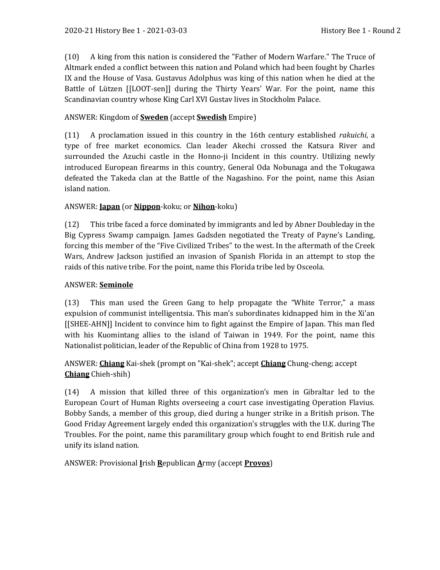(10) A king from this nation is considered the "Father of Modern Warfare." The Truce of Altmark ended a conflict between this nation and Poland which had been fought by Charles IX and the House of Vasa. Gustavus Adolphus was king of this nation when he died at the Battle of Lützen [[LOOT-sen]] during the Thirty Years' War. For the point, name this Scandinavian country whose King Carl XVI Gustav lives in Stockholm Palace.

#### ANSWER: Kingdom of **Sweden** (accept **Swedish** Empire)

(11) A proclamation issued in this country in the 16th century established *rakuichi*, a type of free market economics. Clan leader Akechi crossed the Katsura River and surrounded the Azuchi castle in the Honno-ji Incident in this country. Utilizing newly introduced European firearms in this country, General Oda Nobunaga and the Tokugawa defeated the Takeda clan at the Battle of the Nagashino. For the point, name this Asian island nation.

#### ANSWER: **Japan** (or **Nippon**-koku; or **Nihon**-koku)

(12) This tribe faced a force dominated by immigrants and led by Abner Doubleday in the Big Cypress Swamp campaign. James Gadsden negotiated the Treaty of Payne's Landing, forcing this member of the "Five Civilized Tribes" to the west. In the aftermath of the Creek Wars, Andrew Jackson justified an invasion of Spanish Florida in an attempt to stop the raids of this native tribe. For the point, name this Florida tribe led by Osceola.

#### ANSWER: **Seminole**

(13) This man used the Green Gang to help propagate the "White Terror," a mass expulsion of communist intelligentsia. This man's subordinates kidnapped him in the Xi'an [[SHEE-AHN]] Incident to convince him to fight against the Empire of Japan. This man fled with his Kuomintang allies to the island of Taiwan in 1949. For the point, name this Nationalist politician, leader of the Republic of China from 1928 to 1975.

# ANSWER: **Chiang** Kai-shek (prompt on "Kai-shek"; accept **Chiang** Chung-cheng; accept **Chiang** Chieh-shih)

(14) A mission that killed three of this organization's men in Gibraltar led to the European Court of Human Rights overseeing a court case investigating Operation Flavius. Bobby Sands, a member of this group, died during a hunger strike in a British prison. The Good Friday Agreement largely ended this organization's struggles with the U.K. during The Troubles. For the point, name this paramilitary group which fought to end British rule and unify its island nation.

ANSWER: Provisional **I**rish **R**epublican **A**rmy (accept **Provos**)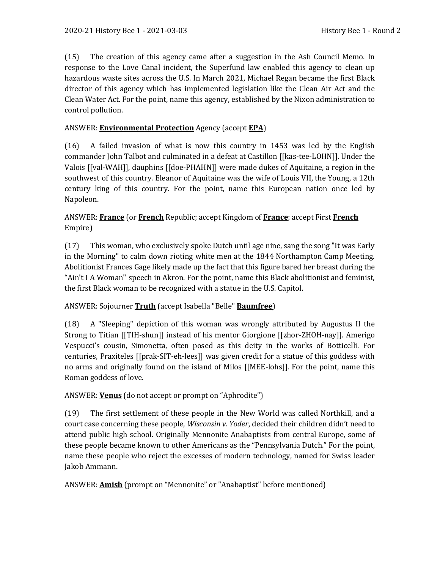(15) The creation of this agency came after a suggestion in the Ash Council Memo. In response to the Love Canal incident, the Superfund law enabled this agency to clean up hazardous waste sites across the U.S. In March 2021, Michael Regan became the first Black director of this agency which has implemented legislation like the Clean Air Act and the Clean Water Act. For the point, name this agency, established by the Nixon administration to control pollution.

#### ANSWER: **Environmental Protection** Agency (accept **EPA**)

(16) A failed invasion of what is now this country in 1453 was led by the English commander John Talbot and culminated in a defeat at Castillon [[kas-tee-LOHN]]. Under the Valois [[val-WAH]], dauphins [[doe-PHAHN]] were made dukes of Aquitaine, a region in the southwest of this country. Eleanor of Aquitaine was the wife of Louis VII, the Young, a 12th century king of this country. For the point, name this European nation once led by Napoleon.

# ANSWER: **France** (or **French** Republic; accept Kingdom of **France**; accept First **French** Empire)

(17) This woman, who exclusively spoke Dutch until age nine, sang the song "It was Early in the Morning" to calm down rioting white men at the 1844 Northampton Camp Meeting. Abolitionist Frances Gage likely made up the fact that this figure bared her breast during the "Ain't I A Woman'' speech in Akron. For the point, name this Black abolitionist and feminist, the first Black woman to be recognized with a statue in the U.S. Capitol.

# ANSWER: Sojourner **Truth** (accept Isabella "Belle" **Baumfree**)

(18) A "Sleeping" depiction of this woman was wrongly attributed by Augustus II the Strong to Titian [[TIH-shun]] instead of his mentor Giorgione [[zhor-ZHOH-nay]]. Amerigo Vespucci's cousin, Simonetta, often posed as this deity in the works of Botticelli. For centuries, Praxiteles [[prak-SIT-eh-lees]] was given credit for a statue of this goddess with no arms and originally found on the island of Milos [[MEE-lohs]]. For the point, name this Roman goddess of love.

# ANSWER: **Venus** (do not accept or prompt on "Aphrodite")

(19) The first settlement of these people in the New World was called Northkill, and a court case concerning these people, *Wisconsin v. Yoder*, decided their children didn't need to attend public high school. Originally Mennonite Anabaptists from central Europe, some of these people became known to other Americans as the "Pennsylvania Dutch." For the point, name these people who reject the excesses of modern technology, named for Swiss leader Jakob Ammann.

#### ANSWER: **Amish** (prompt on "Mennonite" or "Anabaptist" before mentioned)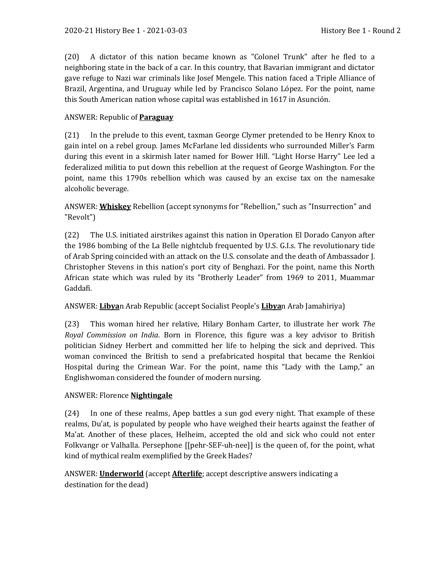(20) A dictator of this nation became known as "Colonel Trunk" after he fled to a neighboring state in the back of a car. In this country, that Bavarian immigrant and dictator gave refuge to Nazi war criminals like Josef Mengele. This nation faced a Triple Alliance of Brazil, Argentina, and Uruguay while led by Francisco Solano López. For the point, name this South American nation whose capital was established in 1617 in Asunción.

#### ANSWER: Republic of **Paraguay**

(21) In the prelude to this event, taxman George Clymer pretended to be Henry Knox to gain intel on a rebel group. James McFarlane led dissidents who surrounded Miller's Farm during this event in a skirmish later named for Bower Hill. "Light Horse Harry" Lee led a federalized militia to put down this rebellion at the request of George Washington. For the point, name this 1790s rebellion which was caused by an excise tax on the namesake alcoholic beverage.

ANSWER: **Whiskey** Rebellion (accept synonyms for "Rebellion," such as "Insurrection" and "Revolt")

(22) The U.S. initiated airstrikes against this nation in Operation El Dorado Canyon after the 1986 bombing of the La Belle nightclub frequented by U.S. G.I.s. The revolutionary tide of Arab Spring coincided with an attack on the U.S. consolate and the death of Ambassador J. Christopher Stevens in this nation's port city of Benghazi. For the point, name this North African state which was ruled by its "Brotherly Leader" from 1969 to 2011, Muammar Gaddafi.

#### ANSWER: **Libya**n Arab Republic (accept Socialist People's **Libya**n Arab Jamahiriya)

(23) This woman hired her relative, Hilary Bonham Carter, to illustrate her work *The Royal Commission on India*. Born in Florence, this figure was a key advisor to British politician Sidney Herbert and committed her life to helping the sick and deprived. This woman convinced the British to send a prefabricated hospital that became the Renkioi Hospital during the Crimean War. For the point, name this "Lady with the Lamp," an Englishwoman considered the founder of modern nursing.

#### ANSWER: Florence **Nightingale**

(24) In one of these realms, Apep battles a sun god every night. That example of these realms, Du'at, is populated by people who have weighed their hearts against the feather of Ma'at. Another of these places, Helheim, accepted the old and sick who could not enter Folkvangr or Valhalla. Persephone [[pehr-SEF-uh-nee]] is the queen of, for the point, what kind of mythical realm exemplified by the Greek Hades?

# ANSWER: **Underworld** (accept **Afterlife**; accept descriptive answers indicating a destination for the dead)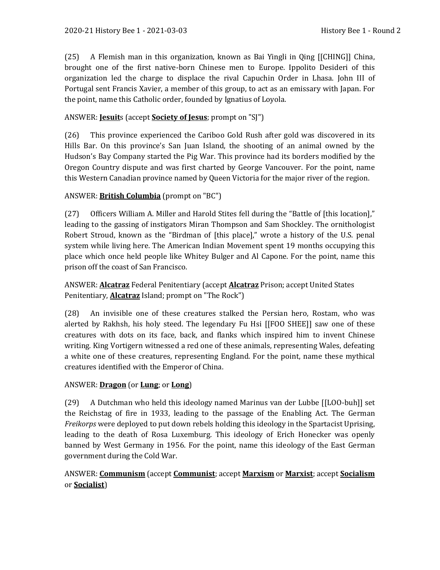(25) A Flemish man in this organization, known as Bai Yingli in Qing [[CHING]] China, brought one of the first native-born Chinese men to Europe. Ippolito Desideri of this organization led the charge to displace the rival Capuchin Order in Lhasa. John III of Portugal sent Francis Xavier, a member of this group, to act as an emissary with Japan. For the point, name this Catholic order, founded by Ignatius of Loyola.

# ANSWER: **Jesuit**s (accept **Society of Jesus**; prompt on "SJ")

(26) This province experienced the Cariboo Gold Rush after gold was discovered in its Hills Bar. On this province's San Juan Island, the shooting of an animal owned by the Hudson's Bay Company started the Pig War. This province had its borders modified by the Oregon Country dispute and was first charted by George Vancouver. For the point, name this Western Canadian province named by Queen Victoria for the major river of the region.

# ANSWER: **British Columbia** (prompt on "BC")

(27) Officers William A. Miller and Harold Stites fell during the "Battle of [this location]," leading to the gassing of instigators Miran Thompson and Sam Shockley. The ornithologist Robert Stroud, known as the "Birdman of [this place]," wrote a history of the U.S. penal system while living here. The American Indian Movement spent 19 months occupying this place which once held people like Whitey Bulger and Al Capone. For the point, name this prison off the coast of San Francisco.

ANSWER: **Alcatraz** Federal Penitentiary (accept **Alcatraz** Prison; accept United States Penitentiary, **Alcatraz** Island; prompt on "The Rock")

(28) An invisible one of these creatures stalked the Persian hero, Rostam, who was alerted by Rakhsh, his holy steed. The legendary Fu Hsi [[FOO SHEE]] saw one of these creatures with dots on its face, back, and flanks which inspired him to invent Chinese writing. King Vortigern witnessed a red one of these animals, representing Wales, defeating a white one of these creatures, representing England. For the point, name these mythical creatures identified with the Emperor of China.

# ANSWER: **Dragon** (or **Lung**; or **Long**)

(29) A Dutchman who held this ideology named Marinus van der Lubbe [[LOO-buh]] set the Reichstag of fire in 1933, leading to the passage of the Enabling Act. The German *Freikorps* were deployed to put down rebels holding this ideology in the Spartacist Uprising, leading to the death of Rosa Luxemburg. This ideology of Erich Honecker was openly banned by West Germany in 1956. For the point, name this ideology of the East German government during the Cold War.

# ANSWER: **Communism** (accept **Communist**; accept **Marxism** or **Marxist**; accept **Socialism** or **Socialist**)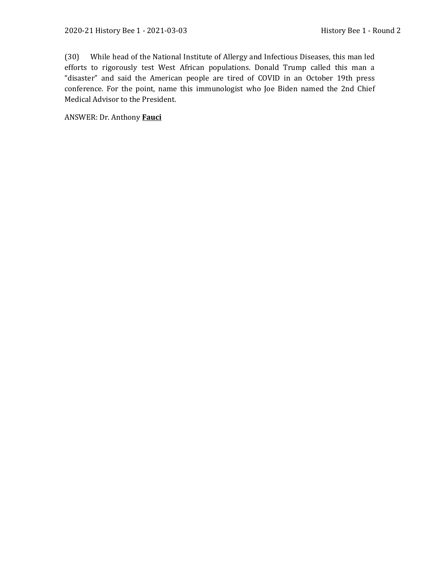(30) While head of the National Institute of Allergy and Infectious Diseases, this man led efforts to rigorously test West African populations. Donald Trump called this man a "disaster" and said the American people are tired of COVID in an October 19th press conference. For the point, name this immunologist who Joe Biden named the 2nd Chief Medical Advisor to the President.

ANSWER: Dr. Anthony **Fauci**